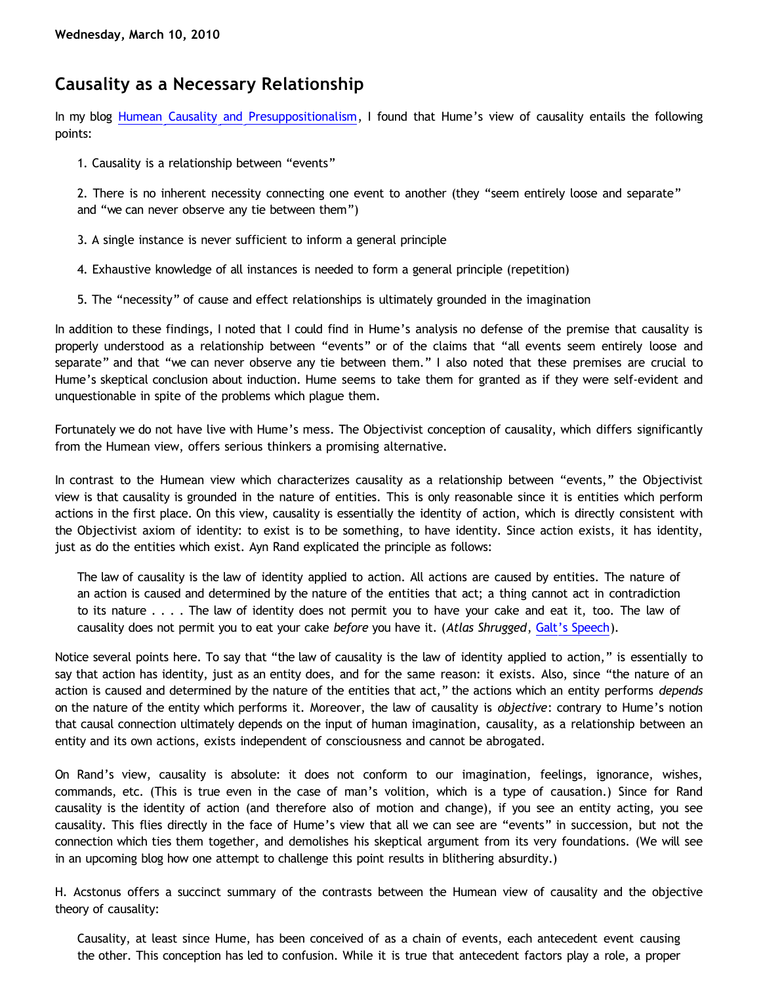## **Causality as a Necessary Relationship**

In my blog [Humean Causality and Presuppositionalism](http://bahnsenburner.blogspot.com/2010/03/humean-causality-and.html), I found that Hume's view of causality entails the following points:

1. Causality is a relationship between "events"

2. There is no inherent necessity connecting one event to another (they "seem entirely loose and separate" and "we can never observe any tie between them")

- 3. A single instance is never sufficient to inform a general principle
- 4. Exhaustive knowledge of all instances is needed to form a general principle (repetition)
- 5. The "necessity" of cause and effect relationships is ultimately grounded in the imagination

In addition to these findings, I noted that I could find in Hume's analysis no defense of the premise that causality is properly understood as a relationship between "events" or of the claims that "all events seem entirely loose and separate" and that "we can never observe any tie between them." I also noted that these premises are crucial to Hume's skeptical conclusion about induction. Hume seems to take them for granted as if they were self-evident and unquestionable in spite of the problems which plague them.

Fortunately we do not have live with Hume's mess. The Objectivist conception of causality, which differs significantly from the Humean view, offers serious thinkers a promising alternative.

In contrast to the Humean view which characterizes causality as a relationship between "events," the Objectivist view is that causality is grounded in the nature of entities. This is only reasonable since it is entities which perform actions in the first place. On this view, causality is essentially the identity of action, which is directly consistent with the Objectivist axiom of identity: to exist is to be something, to have identity. Since action exists, it has identity, just as do the entities which exist. Ayn Rand explicated the principle as follows:

The law of causality is the law of identity applied to action. All actions are caused by entities. The nature of an action is caused and determined by the nature of the entities that act; a thing cannot act in contradiction to its nature . . . . The law of identity does not permit you to have your cake and eat it, too. The law of causality does not permit you to eat your cake *before* you have it. (*Atlas Shrugged*, [Galt's Speech](http://jvwisdom.com/jv/joint-venture-videos/john-galt-speech.html)).

Notice several points here. To say that "the law of causality is the law of identity applied to action," is essentially to say that action has identity, just as an entity does, and for the same reason: it exists. Also, since "the nature of an action is caused and determined by the nature of the entities that act," the actions which an entity performs *depends* on the nature of the entity which performs it. Moreover, the law of causality is *objective*: contrary to Hume's notion that causal connection ultimately depends on the input of human imagination, causality, as a relationship between an entity and its own actions, exists independent of consciousness and cannot be abrogated.

On Rand's view, causality is absolute: it does not conform to our imagination, feelings, ignorance, wishes, commands, etc. (This is true even in the case of man's volition, which is a type of causation.) Since for Rand causality is the identity of action (and therefore also of motion and change), if you see an entity acting, you see causality. This flies directly in the face of Hume's view that all we can see are "events" in succession, but not the connection which ties them together, and demolishes his skeptical argument from its very foundations. (We will see in an upcoming blog how one attempt to challenge this point results in blithering absurdity.)

H. Acstonus offers a succinct summary of the contrasts between the Humean view of causality and the objective theory of causality:

Causality, at least since Hume, has been conceived of as a chain of events, each antecedent event causing the other. This conception has led to confusion. While it is true that antecedent factors play a role, a proper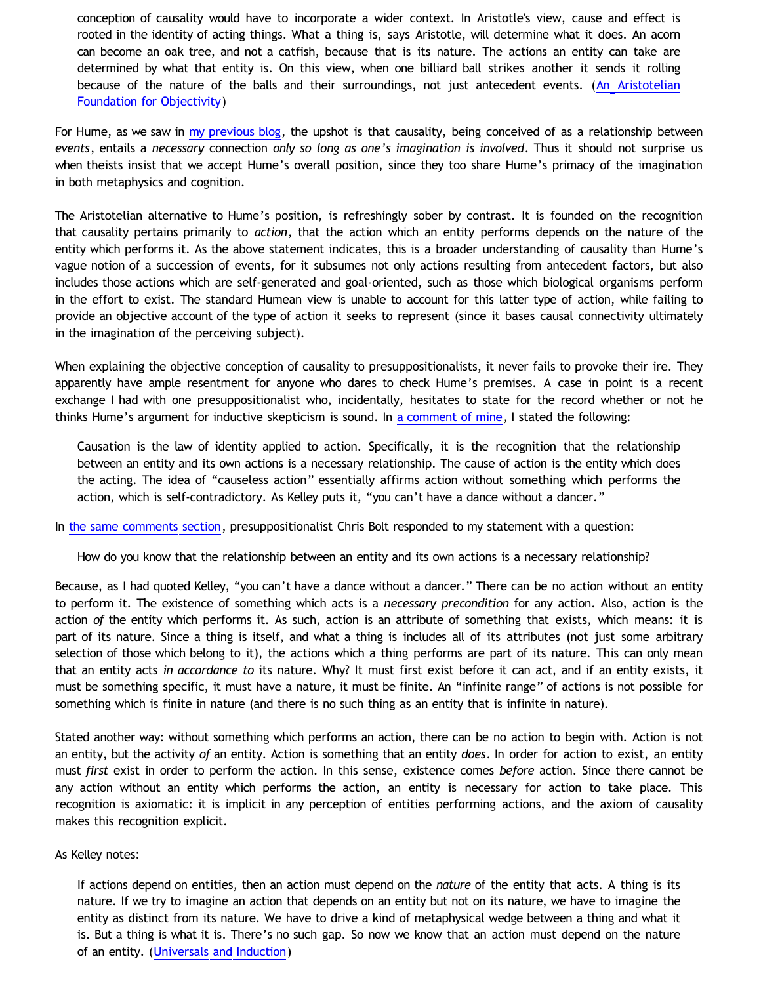conception of causality would have to incorporate a wider context. In Aristotle's view, cause and effect is rooted in the identity of acting things. What a thing is, says Aristotle, will determine what it does. An acorn can become an oak tree, and not a catfish, because that is its nature. The actions an entity can take are determined by what that entity is. On this view, when one billiard ball strikes another it sends it rolling because of the nature of the balls and their surroundings, not just antecedent events. ([An Aristotelian](http://jroberts.blogs.com/letters/2005/07/an_aristotelian.html) [Foundation for Objectivity](http://jroberts.blogs.com/letters/2005/07/an_aristotelian.html))

For Hume, as we saw in [my previous blog](http://bahnsenburner.blogspot.com/2010/03/humean-causality-and.html), the upshot is that causality, being conceived of as a relationship between *events*, entails a *necessary* connection *only so long as one's imagination is involved*. Thus it should not surprise us when theists insist that we accept Hume's overall position, since they too share Hume's primacy of the imagination in both metaphysics and cognition.

The Aristotelian alternative to Hume's position, is refreshingly sober by contrast. It is founded on the recognition that causality pertains primarily to *action*, that the action which an entity performs depends on the nature of the entity which performs it. As the above statement indicates, this is a broader understanding of causality than Hume's vague notion of a succession of events, for it subsumes not only actions resulting from antecedent factors, but also includes those actions which are self-generated and goal-oriented, such as those which biological organisms perform in the effort to exist. The standard Humean view is unable to account for this latter type of action, while failing to provide an objective account of the type of action it seeks to represent (since it bases causal connectivity ultimately in the imagination of the perceiving subject).

When explaining the objective conception of causality to presuppositionalists, it never fails to provoke their ire. They apparently have ample resentment for anyone who dares to check Hume's premises. A case in point is a recent exchange I had with one presuppositionalist who, incidentally, hesitates to state for the record whether or not he thinks Hume's argument for inductive skepticism is sound. In [a comment of mine](http://bahnsenburner.blogspot.com/2009/09/can-water-in-my-drinking-glass-turn.html), I stated the following:

Causation is the law of identity applied to action. Specifically, it is the recognition that the relationship between an entity and its own actions is a necessary relationship. The cause of action is the entity which does the acting. The idea of "causeless action" essentially affirms action without something which performs the action, which is self-contradictory. As Kelley puts it, "you can't have a dance without a dancer."

In [the same comments section](http://bahnsenburner.blogspot.com/2009/09/can-water-in-my-drinking-glass-turn.html), presuppositionalist Chris Bolt responded to my statement with a question:

How do you know that the relationship between an entity and its own actions is a necessary relationship?

Because, as I had quoted Kelley, "you can't have a dance without a dancer." There can be no action without an entity to perform it. The existence of something which acts is a *necessary precondition* for any action. Also, action is the action *of* the entity which performs it. As such, action is an attribute of something that exists, which means: it is part of its nature. Since a thing is itself, and what a thing is includes all of its attributes (not just some arbitrary selection of those which belong to it), the actions which a thing performs are part of its nature. This can only mean that an entity acts *in accordance to* its nature. Why? It must first exist before it can act, and if an entity exists, it must be something specific, it must have a nature, it must be finite. An "infinite range" of actions is not possible for something which is finite in nature (and there is no such thing as an entity that is infinite in nature).

Stated another way: without something which performs an action, there can be no action to begin with. Action is not an entity, but the activity *of* an entity. Action is something that an entity *does*. In order for action to exist, an entity must *first* exist in order to perform the action. In this sense, existence comes *before* action. Since there cannot be any action without an entity which performs the action, an entity is necessary for action to take place. This recognition is axiomatic: it is implicit in any perception of entities performing actions, and the axiom of causality makes this recognition explicit.

## As Kelley notes:

If actions depend on entities, then an action must depend on the *nature* of the entity that acts. A thing is its nature. If we try to imagine an action that depends on an entity but not on its nature, we have to imagine the entity as distinct from its nature. We have to drive a kind of metaphysical wedge between a thing and what it is. But a thing is what it is. There's no such gap. So now we know that an action must depend on the nature of an entity. ([Universals and Induction](http://www.objectivismstore.com/store/comersus_viewItem.asp?idProduct=35))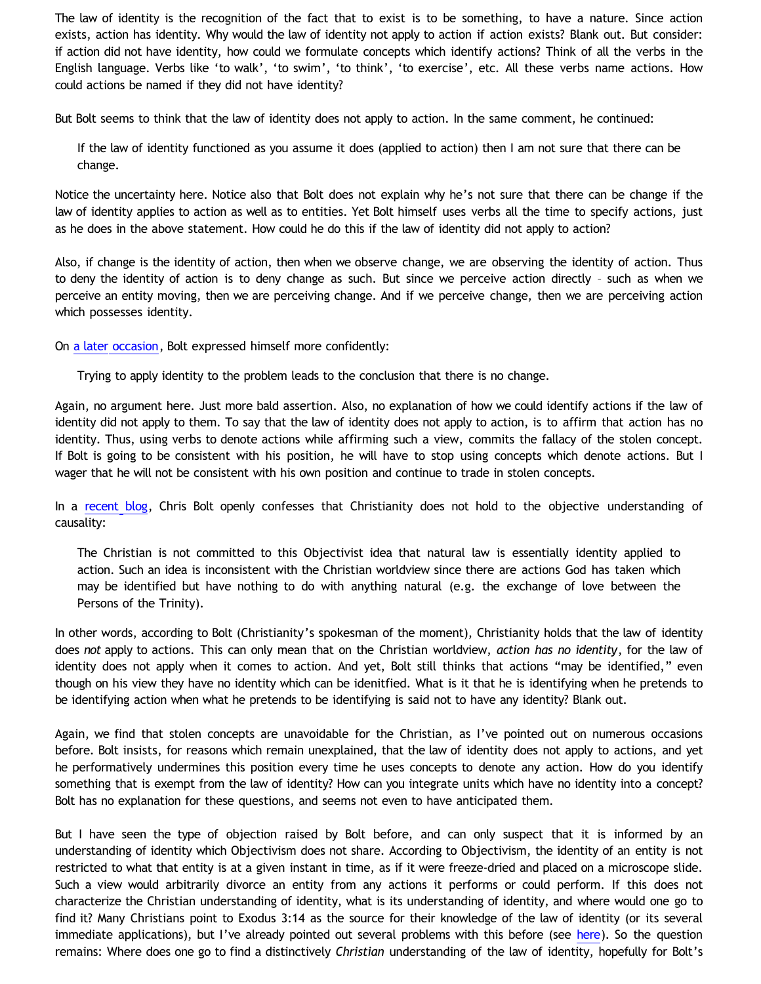The law of identity is the recognition of the fact that to exist is to be something, to have a nature. Since action exists, action has identity. Why would the law of identity not apply to action if action exists? Blank out. But consider: if action did not have identity, how could we formulate concepts which identify actions? Think of all the verbs in the English language. Verbs like 'to walk', 'to swim', 'to think', 'to exercise', etc. All these verbs name actions. How could actions be named if they did not have identity?

But Bolt seems to think that the law of identity does not apply to action. In the same comment, he continued:

If the law of identity functioned as you assume it does (applied to action) then I am not sure that there can be change.

Notice the uncertainty here. Notice also that Bolt does not explain why he's not sure that there can be change if the law of identity applies to action as well as to entities. Yet Bolt himself uses verbs all the time to specify actions, just as he does in the above statement. How could he do this if the law of identity did not apply to action?

Also, if change is the identity of action, then when we observe change, we are observing the identity of action. Thus to deny the identity of action is to deny change as such. But since we perceive action directly – such as when we perceive an entity moving, then we are perceiving change. And if we perceive change, then we are perceiving action which possesses identity.

On [a later occasion](http://bahnsenburner.blogspot.com/2009/10/chris-bolt-on-hume-and-induction.html), Bolt expressed himself more confidently:

Trying to apply identity to the problem leads to the conclusion that there is no change.

Again, no argument here. Just more bald assertion. Also, no explanation of how we could identify actions if the law of identity did not apply to them. To say that the law of identity does not apply to action, is to affirm that action has no identity. Thus, using verbs to denote actions while affirming such a view, commits the fallacy of the stolen concept. If Bolt is going to be consistent with his position, he will have to stop using concepts which denote actions. But I wager that he will not be consistent with his own position and continue to trade in stolen concepts.

In a [recent blog](http://www.choosinghats.com/?p=997), Chris Bolt openly confesses that Christianity does not hold to the objective understanding of causality:

The Christian is not committed to this Objectivist idea that natural law is essentially identity applied to action. Such an idea is inconsistent with the Christian worldview since there are actions God has taken which may be identified but have nothing to do with anything natural (e.g. the exchange of love between the Persons of the Trinity).

In other words, according to Bolt (Christianity's spokesman of the moment), Christianity holds that the law of identity does *not* apply to actions. This can only mean that on the Christian worldview, *action has no identity*, for the law of identity does not apply when it comes to action. And yet, Bolt still thinks that actions "may be identified," even though on his view they have no identity which can be idenitfied. What is it that he is identifying when he pretends to be identifying action when what he pretends to be identifying is said not to have any identity? Blank out.

Again, we find that stolen concepts are unavoidable for the Christian, as I've pointed out on numerous occasions before. Bolt insists, for reasons which remain unexplained, that the law of identity does not apply to actions, and yet he performatively undermines this position every time he uses concepts to denote any action. How do you identify something that is exempt from the law of identity? How can you integrate units which have no identity into a concept? Bolt has no explanation for these questions, and seems not even to have anticipated them.

But I have seen the type of objection raised by Bolt before, and can only suspect that it is informed by an understanding of identity which Objectivism does not share. According to Objectivism, the identity of an entity is not restricted to what that entity is at a given instant in time, as if it were freeze-dried and placed on a microscope slide. Such a view would arbitrarily divorce an entity from any actions it performs or could perform. If this does not characterize the Christian understanding of identity, what is its understanding of identity, and where would one go to find it? Many Christians point to Exodus 3:14 as the source for their knowledge of the law of identity (or its several immediate applications), but I've already pointed out several problems with this before (see [here\)](http://bahnsenburner.blogspot.com/2009/08/razorskiss-on-christian-god-as-basis-of_21.html). So the question remains: Where does one go to find a distinctively *Christian* understanding of the law of identity, hopefully for Bolt's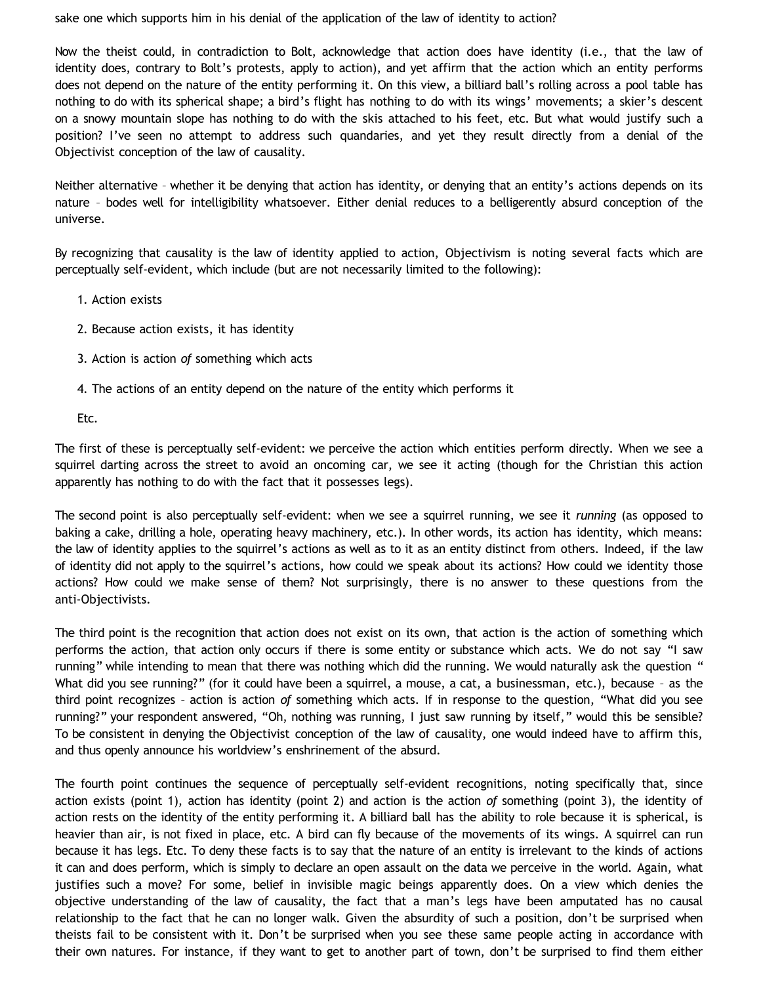sake one which supports him in his denial of the application of the law of identity to action?

Now the theist could, in contradiction to Bolt, acknowledge that action does have identity (i.e., that the law of identity does, contrary to Bolt's protests, apply to action), and yet affirm that the action which an entity performs does not depend on the nature of the entity performing it. On this view, a billiard ball's rolling across a pool table has nothing to do with its spherical shape; a bird's flight has nothing to do with its wings' movements; a skier's descent on a snowy mountain slope has nothing to do with the skis attached to his feet, etc. But what would justify such a position? I've seen no attempt to address such quandaries, and yet they result directly from a denial of the Objectivist conception of the law of causality.

Neither alternative – whether it be denying that action has identity, or denying that an entity's actions depends on its nature – bodes well for intelligibility whatsoever. Either denial reduces to a belligerently absurd conception of the universe.

By recognizing that causality is the law of identity applied to action, Objectivism is noting several facts which are perceptually self-evident, which include (but are not necessarily limited to the following):

- 1. Action exists
- 2. Because action exists, it has identity
- 3. Action is action *of* something which acts
- 4. The actions of an entity depend on the nature of the entity which performs it

Etc.

The first of these is perceptually self-evident: we perceive the action which entities perform directly. When we see a squirrel darting across the street to avoid an oncoming car, we see it acting (though for the Christian this action apparently has nothing to do with the fact that it possesses legs).

The second point is also perceptually self-evident: when we see a squirrel running, we see it *running* (as opposed to baking a cake, drilling a hole, operating heavy machinery, etc.). In other words, its action has identity, which means: the law of identity applies to the squirrel's actions as well as to it as an entity distinct from others. Indeed, if the law of identity did not apply to the squirrel's actions, how could we speak about its actions? How could we identity those actions? How could we make sense of them? Not surprisingly, there is no answer to these questions from the anti-Objectivists.

The third point is the recognition that action does not exist on its own, that action is the action of something which performs the action, that action only occurs if there is some entity or substance which acts. We do not say "I saw running" while intending to mean that there was nothing which did the running. We would naturally ask the question " What did you see running?" (for it could have been a squirrel, a mouse, a cat, a businessman, etc.), because - as the third point recognizes – action is action *of* something which acts. If in response to the question, "What did you see running?" your respondent answered, "Oh, nothing was running, I just saw running by itself," would this be sensible? To be consistent in denying the Objectivist conception of the law of causality, one would indeed have to affirm this, and thus openly announce his worldview's enshrinement of the absurd.

The fourth point continues the sequence of perceptually self-evident recognitions, noting specifically that, since action exists (point 1), action has identity (point 2) and action is the action *of* something (point 3), the identity of action rests on the identity of the entity performing it. A billiard ball has the ability to role because it is spherical, is heavier than air, is not fixed in place, etc. A bird can fly because of the movements of its wings. A squirrel can run because it has legs. Etc. To deny these facts is to say that the nature of an entity is irrelevant to the kinds of actions it can and does perform, which is simply to declare an open assault on the data we perceive in the world. Again, what justifies such a move? For some, belief in invisible magic beings apparently does. On a view which denies the objective understanding of the law of causality, the fact that a man's legs have been amputated has no causal relationship to the fact that he can no longer walk. Given the absurdity of such a position, don't be surprised when theists fail to be consistent with it. Don't be surprised when you see these same people acting in accordance with their own natures. For instance, if they want to get to another part of town, don't be surprised to find them either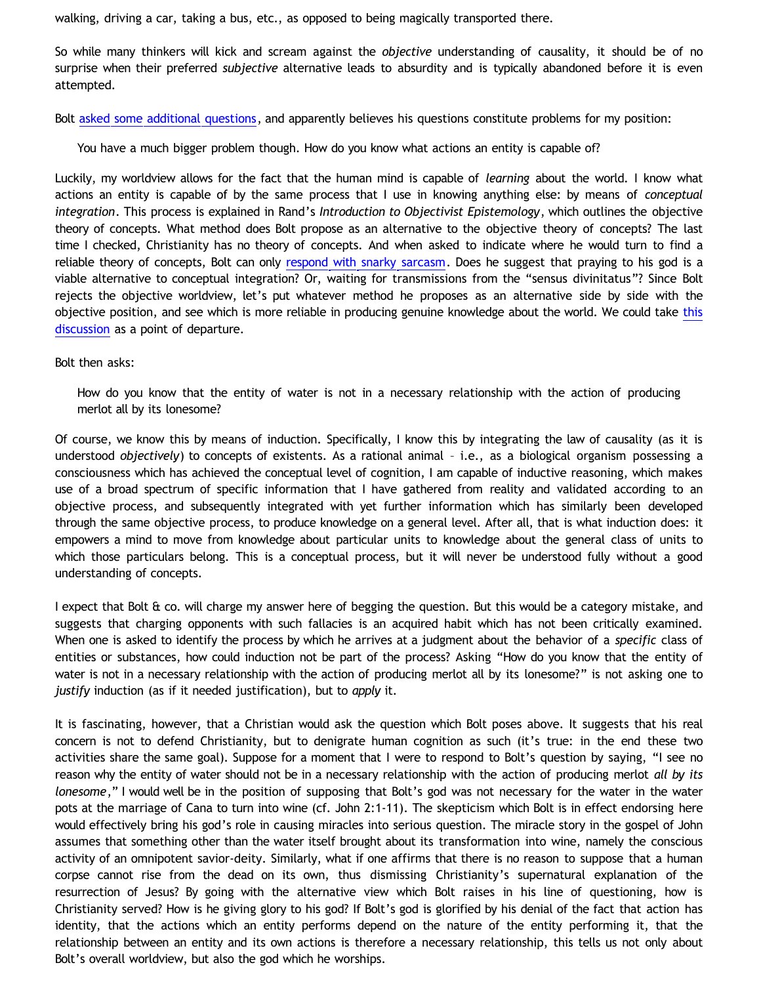walking, driving a car, taking a bus, etc., as opposed to being magically transported there.

So while many thinkers will kick and scream against the *objective* understanding of causality, it should be of no surprise when their preferred *subjective* alternative leads to absurdity and is typically abandoned before it is even attempted.

Bolt [asked some additional questions](http://bahnsenburner.blogspot.com/2009/09/can-water-in-my-drinking-glass-turn.html), and apparently believes his questions constitute problems for my position:

You have a much bigger problem though. How do you know what actions an entity is capable of?

Luckily, my worldview allows for the fact that the human mind is capable of *learning* about the world. I know what actions an entity is capable of by the same process that I use in knowing anything else: by means of *conceptual integration*. This process is explained in Rand's *Introduction to Objectivist Epistemology*, which outlines the objective theory of concepts. What method does Bolt propose as an alternative to the objective theory of concepts? The last time I checked, Christianity has no theory of concepts. And when asked to indicate where he would turn to find a reliable theory of concepts, Bolt can only [respond with snarky sarcasm](http://www.choosinghats.com/?p=919). Does he suggest that praying to his god is a viable alternative to conceptual integration? Or, waiting for transmissions from the "sensus divinitatus"? Since Bolt rejects the objective worldview, let's put whatever method he proposes as an alternative side by side with the objective position, and see which is more reliable in producing genuine knowledge about the world. We could take [this](http://katholon.com/RK.htm) [discussion](http://katholon.com/RK.htm) as a point of departure.

Bolt then asks:

How do you know that the entity of water is not in a necessary relationship with the action of producing merlot all by its lonesome?

Of course, we know this by means of induction. Specifically, I know this by integrating the law of causality (as it is understood *objectively*) to concepts of existents. As a rational animal – i.e., as a biological organism possessing a consciousness which has achieved the conceptual level of cognition, I am capable of inductive reasoning, which makes use of a broad spectrum of specific information that I have gathered from reality and validated according to an objective process, and subsequently integrated with yet further information which has similarly been developed through the same objective process, to produce knowledge on a general level. After all, that is what induction does: it empowers a mind to move from knowledge about particular units to knowledge about the general class of units to which those particulars belong. This is a conceptual process, but it will never be understood fully without a good understanding of concepts.

I expect that Bolt & co. will charge my answer here of begging the question. But this would be a category mistake, and suggests that charging opponents with such fallacies is an acquired habit which has not been critically examined. When one is asked to identify the process by which he arrives at a judgment about the behavior of a *specific* class of entities or substances, how could induction not be part of the process? Asking "How do you know that the entity of water is not in a necessary relationship with the action of producing merlot all by its lonesome?" is not asking one to *justify* induction (as if it needed justification), but to *apply* it.

It is fascinating, however, that a Christian would ask the question which Bolt poses above. It suggests that his real concern is not to defend Christianity, but to denigrate human cognition as such (it's true: in the end these two activities share the same goal). Suppose for a moment that I were to respond to Bolt's question by saying, "I see no reason why the entity of water should not be in a necessary relationship with the action of producing merlot *all by its lonesome*," I would well be in the position of supposing that Bolt's god was not necessary for the water in the water pots at the marriage of Cana to turn into wine (cf. John 2:1-11). The skepticism which Bolt is in effect endorsing here would effectively bring his god's role in causing miracles into serious question. The miracle story in the gospel of John assumes that something other than the water itself brought about its transformation into wine, namely the conscious activity of an omnipotent savior-deity. Similarly, what if one affirms that there is no reason to suppose that a human corpse cannot rise from the dead on its own, thus dismissing Christianity's supernatural explanation of the resurrection of Jesus? By going with the alternative view which Bolt raises in his line of questioning, how is Christianity served? How is he giving glory to his god? If Bolt's god is glorified by his denial of the fact that action has identity, that the actions which an entity performs depend on the nature of the entity performing it, that the relationship between an entity and its own actions is therefore a necessary relationship, this tells us not only about Bolt's overall worldview, but also the god which he worships.